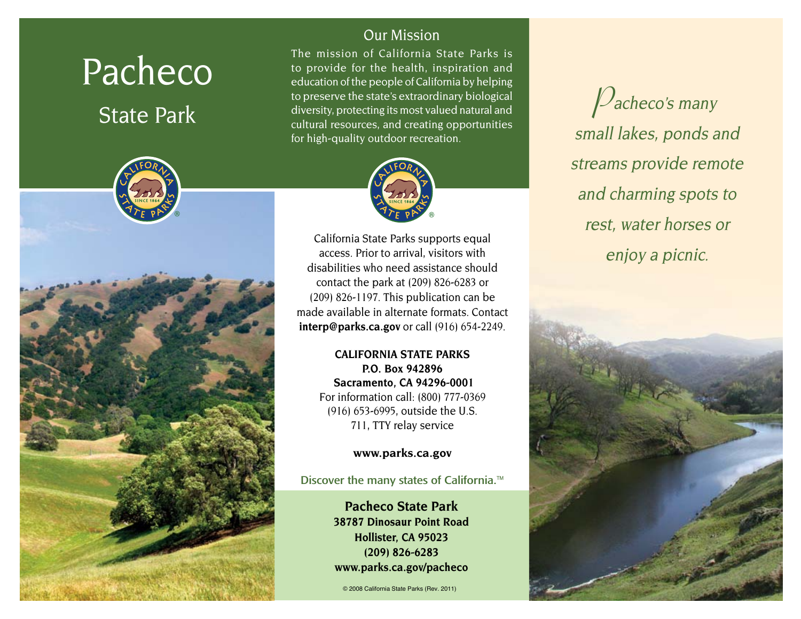# Pacheco

# State Park



## Our Mission

The mission of California State Parks is to provide for the health, inspiration and education of the people of California by helping to preserve the state's extraordinary biological diversity, protecting its most valued natural and cultural resources, and creating opportunities for high-quality outdoor recreation.



California State Parks supports equal access. Prior to arrival, visitors with disabilities who need assistance should contact the park at (209) 826-6283 or (209) 826-1197. This publication can be made available in alternate formats. Contact **interp@parks.ca.gov** or call (916) 654-2249.

> **CALIFORNIA STATE PARKS P.O. Box 942896 Sacramento, CA 94296-0001** For information call: (800) 777-0369 (916) 653-6995, outside the U.S. 711, TTY relay service

> > **www.parks.ca.gov**

Discover the many states of California.<sup>™</sup>

**Pacheco State Park 38787 Dinosaur Point Road Hollister, CA 95023 (209) 826-6283 www.parks.ca.gov/pacheco**

© 2008 California State Parks (Rev. 2011)

**P**acheco's many small lakes, ponds and streams provide remote and charming spots to rest, water horses or enjoy a picnic.

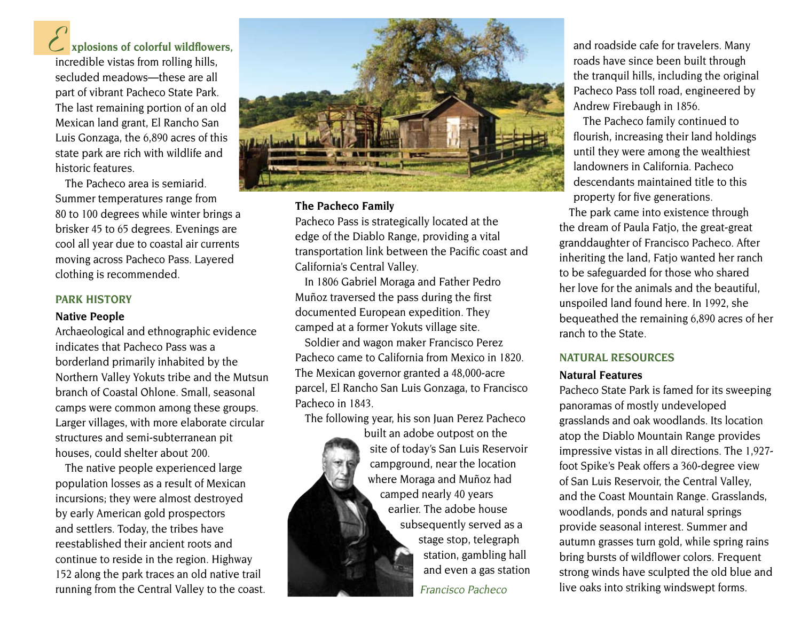# **xplosions of colorful wildflowers, E**

incredible vistas from rolling hills, secluded meadows—these are all part of vibrant Pacheco State Park. The last remaining portion of an old Mexican land grant, El Rancho San Luis Gonzaga, the 6,890 acres of this state park are rich with wildlife and historic features.

The Pacheco area is semiarid. Summer temperatures range from 80 to 100 degrees while winter brings a brisker 45 to 65 degrees. Evenings are cool all year due to coastal air currents moving across Pacheco Pass. Layered clothing is recommended.

#### **PARK HISTORY**

#### **Native People**

Archaeological and ethnographic evidence indicates that Pacheco Pass was a borderland primarily inhabited by the Northern Valley Yokuts tribe and the Mutsun branch of Coastal Ohlone. Small, seasonal camps were common among these groups. Larger villages, with more elaborate circular structures and semi-subterranean pit houses, could shelter about 200.

The native people experienced large population losses as a result of Mexican incursions; they were almost destroyed by early American gold prospectors and settlers. Today, the tribes have reestablished their ancient roots and continue to reside in the region. Highway 152 along the park traces an old native trail running from the Central Valley to the coast.



#### **The Pacheco Family**

Pacheco Pass is strategically located at the edge of the Diablo Range, providing a vital transportation link between the Pacific coast and California's Central Valley.

In 1806 Gabriel Moraga and Father Pedro Muñoz traversed the pass during the first documented European expedition. They camped at a former Yokuts village site.

Soldier and wagon maker Francisco Perez Pacheco came to California from Mexico in 1820. The Mexican governor granted a 48,000-acre parcel, El Rancho San Luis Gonzaga, to Francisco Pacheco in 1843.

The following year, his son Juan Perez Pacheco

built an adobe outpost on the site of today's San Luis Reservoir campground, near the location where Moraga and Muñoz had camped nearly 40 years earlier. The adobe house subsequently served as a stage stop, telegraph station, gambling hall and even a gas station Francisco Pacheco

and roadside cafe for travelers. Many roads have since been built through the tranquil hills, including the original Pacheco Pass toll road, engineered by Andrew Firebaugh in 1856.

The Pacheco family continued to flourish, increasing their land holdings until they were among the wealthiest landowners in California. Pacheco descendants maintained title to this property for five generations.

The park came into existence through the dream of Paula Fatjo, the great-great granddaughter of Francisco Pacheco. After inheriting the land, Fatjo wanted her ranch to be safeguarded for those who shared her love for the animals and the beautiful, unspoiled land found here. In 1992, she bequeathed the remaining 6,890 acres of her ranch to the State.

#### **NATURAL RESOURCES**

#### **Natural Features**

Pacheco State Park is famed for its sweeping panoramas of mostly undeveloped grasslands and oak woodlands. Its location atop the Diablo Mountain Range provides impressive vistas in all directions. The 1,927 foot Spike's Peak offers a 360-degree view of San Luis Reservoir, the Central Valley, and the Coast Mountain Range. Grasslands, woodlands, ponds and natural springs provide seasonal interest. Summer and autumn grasses turn gold, while spring rains bring bursts of wildflower colors. Frequent strong winds have sculpted the old blue and live oaks into striking windswept forms.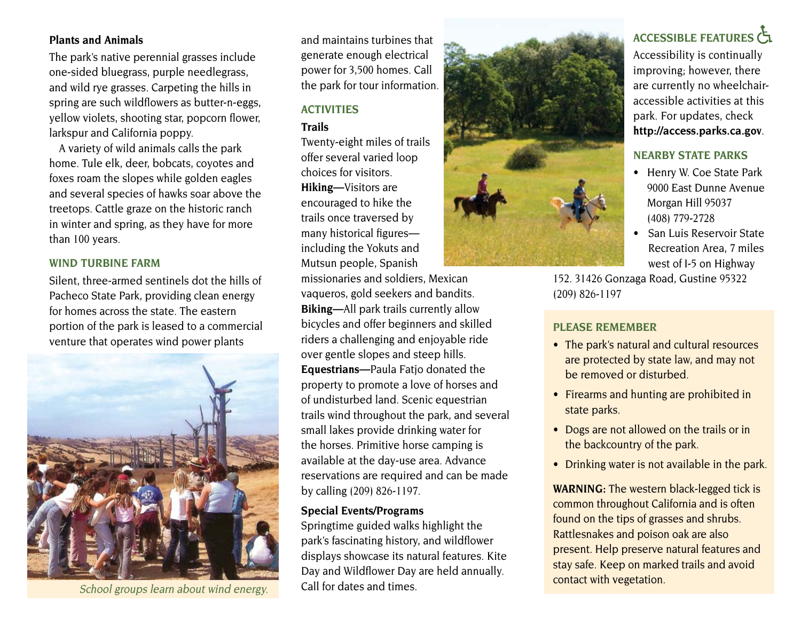#### **Plants and Animals**

The park's native perennial grasses include one-sided bluegrass, purple needlegrass, and wild rye grasses. Carpeting the hills in spring are such wildflowers as butter-n-eggs, yellow violets, shooting star, popcorn flower, larkspur and California poppy.

A variety of wild animals calls the park home. Tule elk, deer, bobcats, coyotes and foxes roam the slopes while golden eagles and several species of hawks soar above the treetops. Cattle graze on the historic ranch in winter and spring, as they have for more than 100 years.

#### **wind Turbine Farm**

Silent, three-armed sentinels dot the hills of Pacheco State Park, providing clean energy for homes across the state. The eastern portion of the park is leased to a commercial venture that operates wind power plants



and maintains turbines that generate enough electrical power for 3,500 homes. Call the park for tour information.

### **ACTIVITIES**

#### **Trails**

Twenty-eight miles of trails offer several varied loop choices for visitors. **Hiking—**Visitors are encouraged to hike the trails once traversed by many historical figures including the Yokuts and Mutsun people, Spanish

missionaries and soldiers, Mexican vaqueros, gold seekers and bandits. **Biking—**All park trails currently allow bicycles and offer beginners and skilled riders a challenging and enjoyable ride over gentle slopes and steep hills. **Equestrians—**Paula Fatjo donated the property to promote a love of horses and of undisturbed land. Scenic equestrian trails wind throughout the park, and several small lakes provide drinking water for the horses. Primitive horse camping is available at the day-use area. Advance reservations are required and can be made by calling (209) 826-1197.

#### **Special Events/Programs**

Springtime guided walks highlight the park's fascinating history, and wildflower displays showcase its natural features. Kite Day and Wildflower Day are held annually. Call for dates and times. school groups learn about wind energy. Call for dates and times.



# **Accessible FEATURES**

Accessibility is continually improving; however, there are currently no wheelchairaccessible activities at this park. For updates, check **http://access.parks.ca.gov**.

#### **NEARBY STATE PARKS**

- Henry W. Coe State Park 9000 East Dunne Avenue Morgan Hill 95037 (408) 779-2728
- San Luis Reservoir State Recreation Area, 7 miles west of I-5 on Highway

152. 31426 Gonzaga Road, Gustine 95322 (209) 826-1197

#### **PLEASE REMEMBER**

- The park's natural and cultural resources are protected by state law, and may not be removed or disturbed.
- Firearms and hunting are prohibited in state parks.
- Dogs are not allowed on the trails or in the backcountry of the park.
- Drinking water is not available in the park.

**WARNING:** The western black-legged tick is common throughout California and is often found on the tips of grasses and shrubs. Rattlesnakes and poison oak are also present. Help preserve natural features and stay safe. Keep on marked trails and avoid